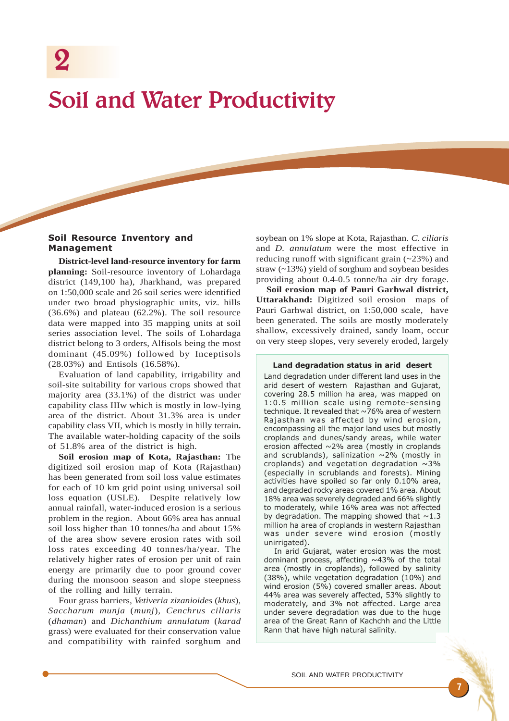# Soil and Water Productivity

## Soil Resource Inventory and Management

**District-level land-resource inventory for farm planning:** Soil-resource inventory of Lohardaga district (149,100 ha), Jharkhand, was prepared on 1:50,000 scale and 26 soil series were identified under two broad physiographic units, viz. hills (36.6%) and plateau (62.2%). The soil resource data were mapped into 35 mapping units at soil series association level. The soils of Lohardaga district belong to 3 orders, Alfisols being the most dominant (45.09%) followed by Inceptisols (28.03%) and Entisols (16.58%).

Evaluation of land capability, irrigability and soil-site suitability for various crops showed that majority area (33.1%) of the district was under capability class IIIw which is mostly in low-lying area of the district. About 31.3% area is under capability class VII, which is mostly in hilly terrain**.** The available water-holding capacity of the soils of 51.8% area of the district is high.

**Soil erosion map of Kota, Rajasthan:** The digitized soil erosion map of Kota (Rajasthan) has been generated from soil loss value estimates for each of 10 km grid point using universal soil loss equation (USLE). Despite relatively low annual rainfall, water-induced erosion is a serious problem in the region. About 66% area has annual soil loss higher than 10 tonnes/ha and about 15% of the area show severe erosion rates with soil loss rates exceeding 40 tonnes/ha/year. The relatively higher rates of erosion per unit of rain energy are primarily due to poor ground cover during the monsoon season and slope steepness of the rolling and hilly terrain.

Four grass barriers, *Vetiveria zizanioides* (*khus*)*, Saccharum munja* (*munj*)*, Cenchrus ciliaris* (*dhaman*) and *Dichanthium annulatum* (*karad* grass) were evaluated for their conservation value and compatibility with rainfed sorghum and soybean on 1% slope at Kota, Rajasthan. *C. ciliaris* and *D. annulatum* were the most effective in reducing runoff with significant grain (~23%) and straw (~13%) yield of sorghum and soybean besides providing about 0.4-0.5 tonne/ha air dry forage.

**Soil erosion map of Pauri Garhwal district, Uttarakhand:** Digitized soil erosion maps of Pauri Garhwal district, on 1:50,000 scale, have been generated. The soils are mostly moderately shallow, excessively drained, sandy loam, occur on very steep slopes, very severely eroded, largely

#### Land degradation status in arid desert

Land degradation under different land uses in the arid desert of western Rajasthan and Gujarat, covering 28.5 million ha area, was mapped on 1:0.5 million scale using remote-sensing technique. It revealed that  $\sim 76\%$  area of western Rajasthan was affected by wind erosion, encompassing all the major land uses but mostly croplands and dunes/sandy areas, while water erosion affected ~2% area (mostly in croplands and scrublands), salinization  $\sim$ 2% (mostly in croplands) and vegetation degradation  $\sim$ 3% (especially in scrublands and forests). Mining activities have spoiled so far only 0.10% area, and degraded rocky areas covered 1% area. About 18% area was severely degraded and 66% slightly to moderately, while 16% area was not affected by degradation. The mapping showed that  $\sim$ 1.3 million ha area of croplands in western Rajasthan was under severe wind erosion (mostly unirrigated).

In arid Gujarat, water erosion was the most dominant process, affecting  $~143\%$  of the total area (mostly in croplands), followed by salinity (38%), while vegetation degradation (10%) and wind erosion (5%) covered smaller areas. About 44% area was severely affected, 53% slightly to moderately, and 3% not affected. Large area under severe degradation was due to the huge area of the Great Rann of Kachchh and the Little Rann that have high natural salinity.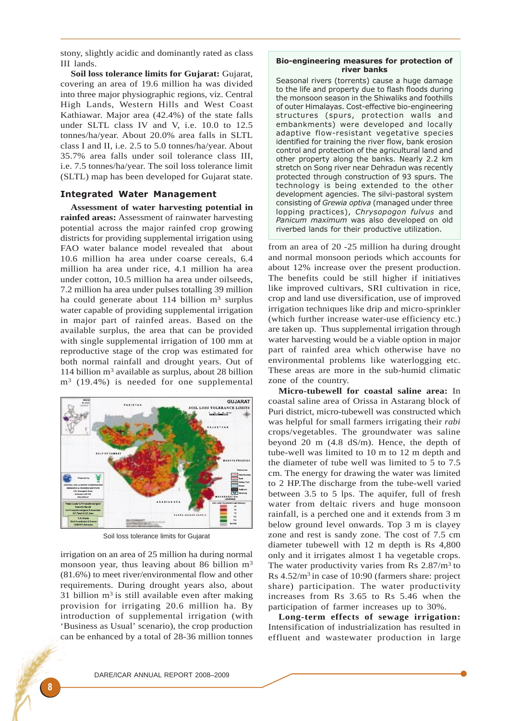stony, slightly acidic and dominantly rated as class III lands.

**Soil loss tolerance limits for Gujarat:** Gujarat, covering an area of 19.6 million ha was divided into three major physiographic regions, viz. Central High Lands, Western Hills and West Coast Kathiawar. Major area (42.4%) of the state falls under SLTL class IV and V, i.e. 10.0 to 12.5 tonnes/ha/year. About 20.0% area falls in SLTL class I and II, i.e. 2.5 to 5.0 tonnes/ha/year. About 35.7% area falls under soil tolerance class III, i.e. 7.5 tonnes/ha/year. The soil loss tolerance limit (SLTL) map has been developed for Gujarat state.

## Integrated Water Management

**Assessment of water harvesting potential in rainfed areas:** Assessment of rainwater harvesting potential across the major rainfed crop growing districts for providing supplemental irrigation using FAO water balance model revealed that about 10.6 million ha area under coarse cereals, 6.4 million ha area under rice, 4.1 million ha area under cotton, 10.5 million ha area under oilseeds, 7.2 million ha area under pulses totalling 39 million ha could generate about 114 billion  $m<sup>3</sup>$  surplus water capable of providing supplemental irrigation in major part of rainfed areas. Based on the available surplus, the area that can be provided with single supplemental irrigation of 100 mm at reproductive stage of the crop was estimated for both normal rainfall and drought years. Out of 114 billion  $m<sup>3</sup>$  available as surplus, about 28 billion  $m<sup>3</sup>$  (19.4%) is needed for one supplemental



Soil loss tolerance limits for Gujarat

irrigation on an area of 25 million ha during normal monsoon year, thus leaving about 86 billion  $m<sup>3</sup>$ (81.6%) to meet river/environmental flow and other requirements. During drought years also, about 31 billion  $m<sup>3</sup>$  is still available even after making provision for irrigating 20.6 million ha. By introduction of supplemental irrigation (with 'Business as Usual' scenario), the crop production can be enhanced by a total of 28-36 million tonnes

#### Bio-engineering measures for protection of river banks

Seasonal rivers (torrents) cause a huge damage to the life and property due to flash floods during the monsoon season in the Shiwaliks and foothills of outer Himalayas. Cost-effective bio-engineering structures (spurs, protection walls and embankments) were developed and locally adaptive flow-resistant vegetative species identified for training the river flow, bank erosion control and protection of the agricultural land and other property along the banks. Nearly 2.2 km stretch on Song river near Dehradun was recently protected through construction of 93 spurs. The technology is being extended to the other development agencies. The silvi-pastoral system consisting of Grewia optiva (managed under three lopping practices), Chrysopogon fulvus and Panicum maximum was also developed on old riverbed lands for their productive utilization.

from an area of 20 -25 million ha during drought and normal monsoon periods which accounts for about 12% increase over the present production. The benefits could be still higher if initiatives like improved cultivars, SRI cultivation in rice, crop and land use diversification, use of improved irrigation techniques like drip and micro-sprinkler (which further increase water-use efficiency etc.) are taken up. Thus supplemental irrigation through water harvesting would be a viable option in major part of rainfed area which otherwise have no environmental problems like waterlogging etc. These areas are more in the sub-humid climatic zone of the country.

**Micro-tubewell for coastal saline area:** In coastal saline area of Orissa in Astarang block of Puri district, micro-tubewell was constructed which was helpful for small farmers irrigating their *rabi* crops/vegetables. The groundwater was saline beyond 20 m (4.8 dS/m). Hence, the depth of tube-well was limited to 10 m to 12 m depth and the diameter of tube well was limited to 5 to 7.5 cm. The energy for drawing the water was limited to 2 HP.The discharge from the tube-well varied between 3.5 to 5 lps. The aquifer, full of fresh water from deltaic rivers and huge monsoon rainfall, is a perched one and it extends from 3 m below ground level onwards. Top 3 m is clayey zone and rest is sandy zone. The cost of 7.5 cm diameter tubewell with 12 m depth is Rs 4,800 only and it irrigates almost 1 ha vegetable crops. The water productivity varies from Rs  $2.87/m<sup>3</sup>$  to Rs 4.52/m3 in case of 10:90 (farmers share: project share) participation. The water productivity increases from Rs 3.65 to Rs 5.46 when the participation of farmer increases up to 30%.

**Long-term effects of sewage irrigation:** Intensification of industrialization has resulted in effluent and wastewater production in large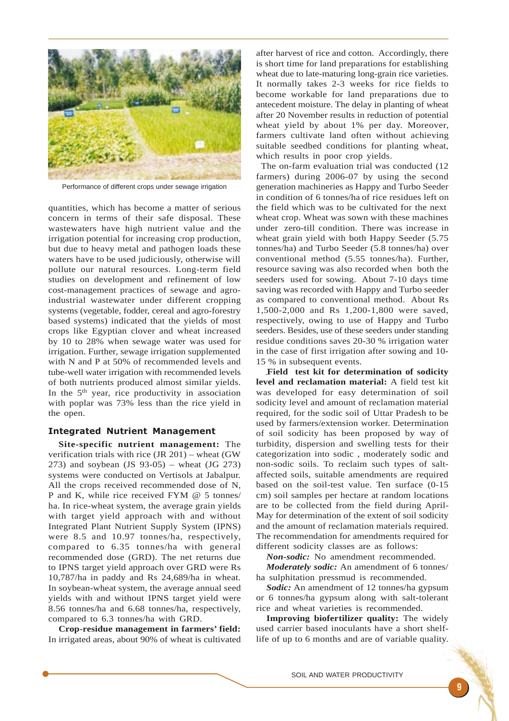

Performance of different crops under sewage irrigation

quantities, which has become a matter of serious concern in terms of their safe disposal. These wastewaters have high nutrient value and the irrigation potential for increasing crop production, but due to heavy metal and pathogen loads these waters have to be used judiciously, otherwise will pollute our natural resources. Long-term field studies on development and refinement of low cost-management practices of sewage and agroindustrial wastewater under different cropping systems (vegetable, fodder, cereal and agro-forestry based systems) indicated that the yields of most crops like Egyptian clover and wheat increased by 10 to 28% when sewage water was used for irrigation. Further, sewage irrigation supplemented with N and P at 50% of recommended levels and tube-well water irrigation with recommended levels of both nutrients produced almost similar yields. In the 5th year, rice productivity in association with poplar was 73% less than the rice yield in the open.

#### Integrated Nutrient Management

**Site-specific nutrient management:** The verification trials with rice (JR 201) – wheat (GW 273) and soybean (JS 93-05) – wheat (JG 273) systems were conducted on Vertisols at Jabalpur. All the crops received recommended dose of N, P and K, while rice received FYM @ 5 tonnes/ ha. In rice-wheat system, the average grain yields with target yield approach with and without Integrated Plant Nutrient Supply System (IPNS) were 8.5 and 10.97 tonnes/ha, respectively, compared to 6.35 tonnes/ha with general recommended dose (GRD). The net returns due to IPNS target yield approach over GRD were Rs 10,787/ha in paddy and Rs 24,689/ha in wheat. In soybean-wheat system, the average annual seed yields with and without IPNS target yield were 8.56 tonnes/ha and 6.68 tonnes/ha, respectively, compared to 6.3 tonnes/ha with GRD.

**Crop-residue management in farmers' field:** In irrigated areas, about 90% of wheat is cultivated after harvest of rice and cotton. Accordingly, there is short time for land preparations for establishing wheat due to late-maturing long-grain rice varieties. It normally takes 2-3 weeks for rice fields to become workable for land preparations due to antecedent moisture. The delay in planting of wheat after 20 November results in reduction of potential wheat yield by about 1% per day. Moreover, farmers cultivate land often without achieving suitable seedbed conditions for planting wheat, which results in poor crop yields.

 The on-farm evaluation trial was conducted (12 farmers) during 2006-07 by using the second generation machineries as Happy and Turbo Seeder in condition of 6 tonnes/ha of rice residues left on the field which was to be cultivated for the next wheat crop. Wheat was sown with these machines under zero-till condition. There was increase in wheat grain yield with both Happy Seeder (5.75 tonnes/ha) and Turbo Seeder (5.8 tonnes/ha) over conventional method (5.55 tonnes/ha). Further, resource saving was also recorded when both the seeders used for sowing. About 7-10 days time saving was recorded with Happy and Turbo seeder as compared to conventional method. About Rs 1,500-2,000 and Rs 1,200-1,800 were saved, respectively, owing to use of Happy and Turbo seeders. Besides, use of these seeders under standing residue conditions saves 20-30 % irrigation water in the case of first irrigation after sowing and 10- 15 % in subsequent events.

**Field test kit for determination of sodicity level and reclamation material:** A field test kit was developed for easy determination of soil sodicity level and amount of reclamation material required, for the sodic soil of Uttar Pradesh to be used by farmers/extension worker. Determination of soil sodicity has been proposed by way of turbidity, dispersion and swelling tests for their categorization into sodic , moderately sodic and non-sodic soils. To reclaim such types of saltaffected soils, suitable amendments are required based on the soil-test value. Ten surface (0-15 cm) soil samples per hectare at random locations are to be collected from the field during April-May for determination of the extent of soil sodicity and the amount of reclamation materials required. The recommendation for amendments required for different sodicity classes are as follows:

*Non-sodic:* No amendment recommended.

*Moderately sodic:* An amendment of 6 tonnes/ ha sulphitation pressmud is recommended.

*Sodic:* An amendment of 12 tonnes/ha gypsum or 6 tonnes/ha gypsum along with salt-tolerant rice and wheat varieties is recommended.

**Improving biofertilizer quality:** The widely used carrier based inoculants have a short shelflife of up to 6 months and are of variable quality.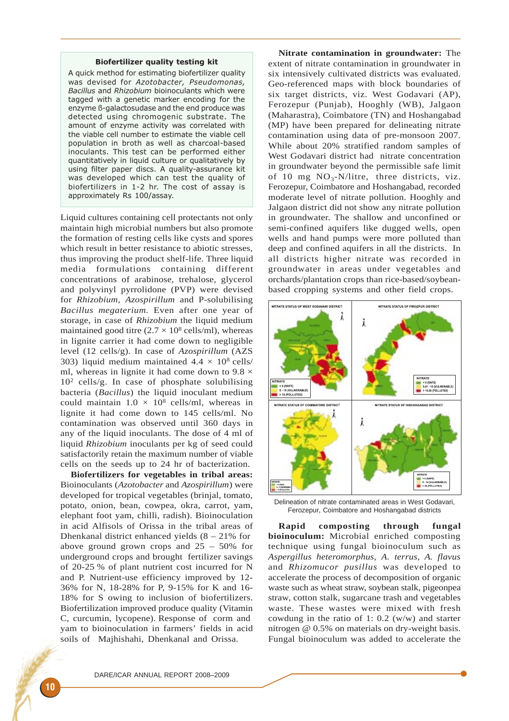#### Biofertilizer quality testing kit

A quick method for estimating biofertilizer quality was devised for Azotobacter, Pseudomonas, Bacillus and Rhizobium bioinoculants which were tagged with a genetic marker encoding for the enzyme ß-galactosudase and the end produce was detected using chromogenic substrate. The amount of enzyme activity was correlated with the viable cell number to estimate the viable cell population in broth as well as charcoal-based inoculants. This test can be performed either quantitatively in liquid culture or qualitatively by using filter paper discs. A quality-assurance kit was developed which can test the quality of biofertilizers in 1-2 hr. The cost of assay is approximately Rs 100/assay.

Liquid cultures containing cell protectants not only maintain high microbial numbers but also promote the formation of resting cells like cysts and spores which result in better resistance to abiotic stresses, thus improving the product shelf-life. Three liquid media formulations containing different concentrations of arabinose, trehalose, glycerol and polyvinyl pyrrolidone (PVP) were devised for *Rhizobium*, *Azospirillum* and P-solubilising *Bacillus megaterium.* Even after one year of storage, in case of *Rhizobium* the liquid medium maintained good titre  $(2.7 \times 10^8 \text{ cells/ml})$ , whereas in lignite carrier it had come down to negligible level (12 cells/g). In case of *Azospirillum* (AZS 303) liquid medium maintained  $4.4 \times 10^8$  cells/ ml, whereas in lignite it had come down to  $9.8 \times$ 102 cells/g. In case of phosphate solubilising bacteria (*Bacillus*) the liquid inoculant medium could maintain  $1.0 \times 10^8$  cells/ml, whereas in lignite it had come down to 145 cells/ml. No contamination was observed until 360 days in any of the liquid inoculants. The dose of 4 ml of liquid *Rhizobium* inoculants per kg of seed could satisfactorily retain the maximum number of viable cells on the seeds up to 24 hr of bacterization.

**Biofertilizers for vegetables in tribal areas:** Bioinoculants (*Azotobacter* and *Azospirillum*) were developed for tropical vegetables (brinjal, tomato, potato, onion, bean, cowpea, okra, carrot, yam, elephant foot yam, chilli, radish). Bioinoculation in acid Alfisols of Orissa in the tribal areas of Dhenkanal district enhanced yields  $(8 - 21\%$  for above ground grown crops and 25 – 50% for underground crops and brought fertilizer savings of 20-25 % of plant nutrient cost incurred for N and P. Nutrient-use efficiency improved by 12- 36% for N, 18-28% for P, 9-15% for K and 16- 18% for S owing to inclusion of biofertilizers. Biofertilization improved produce quality (Vitamin C, curcumin, lycopene). Response of corm and yam to bioinoculation in farmers' fields in acid soils of Majhishahi, Dhenkanal and Orissa.

**Nitrate contamination in groundwater:** The extent of nitrate contamination in groundwater in six intensively cultivated districts was evaluated. Geo-referenced maps with block boundaries of six target districts, viz. West Godavari (AP), Ferozepur (Punjab), Hooghly (WB), Jalgaon (Maharastra), Coimbatore (TN) and Hoshangabad (MP) have been prepared for delineating nitrate contamination using data of pre-monsoon 2007. While about 20% stratified random samples of West Godavari district had nitrate concentration in groundwater beyond the permissible safe limit of 10 mg  $NO_3-N/l$ itre, three districts, viz. Ferozepur, Coimbatore and Hoshangabad, recorded moderate level of nitrate pollution. Hooghly and Jalgaon district did not show any nitrate pollution in groundwater. The shallow and unconfined or semi-confined aquifers like dugged wells, open wells and hand pumps were more polluted than deep and confined aquifers in all the districts. In all districts higher nitrate was recorded in groundwater in areas under vegetables and orchards/plantation crops than rice-based/soybeanbased cropping systems and other field crops.



Delineation of nitrate contaminated areas in West Godavari, Ferozepur, Coimbatore and Hoshangabad districts

**Rapid composting through fungal bioinoculum:** Microbial enriched composting technique using fungal bioinoculum such as *Aspergillus heteromorphus, A. terrus, A. flavus* and *Rhizomucor pusillus* was developed to accelerate the process of decomposition of organic waste such as wheat straw, soybean stalk, pigeonpea straw, cotton stalk, sugarcane trash and vegetables waste. These wastes were mixed with fresh cowdung in the ratio of 1: 0.2 (w/w) and starter nitrogen @ 0.5% on materials on dry-weight basis. Fungal bioinoculum was added to accelerate the